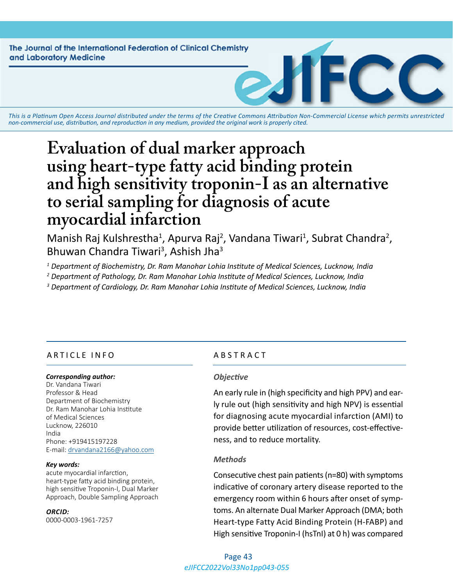**The Journal of the International Federation of Clinical Chemistry** and Laboratory Medicine

*This is a Platinum Open Access Journal distributed under the terms of the [Creative Commons Attribution Non-Commercial License](https://creativecommons.org/licenses/by-nc/4.0/) which permits unrestricted non-commercial use, distribution, and reproduction in any medium, provided the original work is properly cited.*

# **Evaluation of dual marker approach using heart-type fatty acid binding protein and high sensitivity troponin-I as an alternative to serial sampling for diagnosis of acute myocardial infarction**

Manish Raj Kulshrestha<sup>1</sup>, Apurva Raj<sup>2</sup>, Vandana Tiwari<sup>1</sup>, Subrat Chandra<sup>2</sup>, Bhuwan Chandra Tiwari<sup>3</sup>, Ashish Jha<sup>3</sup>

*1 Department of Biochemistry, Dr. Ram Manohar Lohia Institute of Medical Sciences, Lucknow, India*

*2 Department of Pathology, Dr. Ram Manohar Lohia Institute of Medical Sciences, Lucknow, India*

*3 Department of Cardiology, Dr. Ram Manohar Lohia Institute of Medical Sciences, Lucknow, India*

# ARTICLE INFO ABSTRACT

#### *Corresponding author:*

Dr. Vandana Tiwari Professor & Head Department of Biochemistry Dr. Ram Manohar Lohia Institute of Medical Sciences Lucknow, 226010 India Phone: +919415197228 E-mail: [drvandana2166@yahoo.com](mailto:drvandana2166@yahoo.com)

#### *Key words:*

acute myocardial infarction, heart-type fatty acid binding protein, high sensitive Troponin-I, Dual Marker Approach, Double Sampling Approach

#### *ORCID:*

0000-0003-1961-7257

#### *Objective*

An early rule in (high specificity and high PPV) and early rule out (high sensitivity and high NPV) is essential for diagnosing acute myocardial infarction (AMI) to provide better utilization of resources, cost-effectiveness, and to reduce mortality.

#### *Methods*

Consecutive chest pain patients (n=80) with symptoms indicative of coronary artery disease reported to the emergency room within 6 hours after onset of symptoms. An alternate Dual Marker Approach (DMA; both Heart-type Fatty Acid Binding Protein (H-FABP) and High sensitive Troponin-I (hsTnI) at 0 h) was compared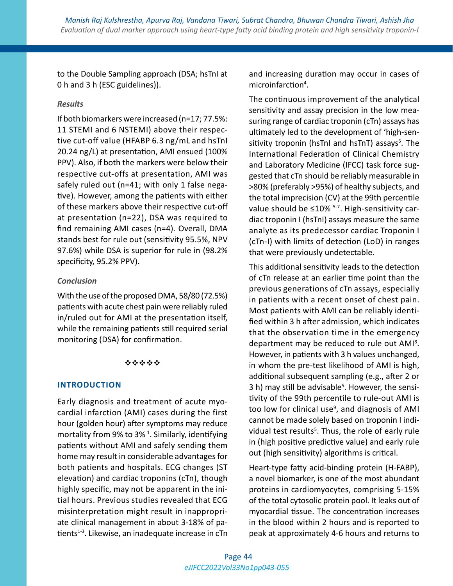to the Double Sampling approach (DSA; hsTnI at 0 h and 3 h (ESC guidelines)).

# *Results*

If both biomarkers were increased (n=17; 77.5%: 11 STEMI and 6 NSTEMI) above their respective cut-off value (HFABP 6.3 ng/mL and hsTnI 20.24 ng/L) at presentation, AMI ensued (100% PPV). Also, if both the markers were below their respective cut-offs at presentation, AMI was safely ruled out (n=41; with only 1 false negative). However, among the patients with either of these markers above their respective cut-off at presentation (n=22), DSA was required to find remaining AMI cases (n=4). Overall, DMA stands best for rule out (sensitivity 95.5%, NPV 97.6%) while DSA is superior for rule in (98.2% specificity, 95.2% PPV).

# *Conclusion*

With the use of the proposed DMA, 58/80 (72.5%) patients with acute chest pain were reliably ruled in/ruled out for AMI at the presentation itself, while the remaining patients still required serial monitoring (DSA) for confirmation.

# \*\*\*\*\*

# **INTRODUCTION**

Early diagnosis and treatment of acute myocardial infarction (AMI) cases during the first hour (golden hour) after symptoms may reduce mortality from 9% to 3%<sup>1</sup>. Similarly, identifying patients without AMI and safely sending them home may result in considerable advantages for both patients and hospitals. ECG changes (ST elevation) and cardiac troponins (cTn), though highly specific, may not be apparent in the initial hours. Previous studies revealed that ECG misinterpretation might result in inappropriate clinical management in about 3-18% of patients $1-3$ . Likewise, an inadequate increase in cTn

and increasing duration may occur in cases of microinfarction<sup>4</sup>.

The continuous improvement of the analytical sensitivity and assay precision in the low measuring range of cardiac troponin (cTn) assays has ultimately led to the development of 'high-sensitivity troponin (hsTnI and hsTnT) assays<sup>5</sup>. The International Federation of Clinical Chemistry and Laboratory Medicine (IFCC) task force suggested that cTn should be reliably measurable in >80% (preferably >95%) of healthy subjects, and the total imprecision (CV) at the 99th percentile value should be  $\leq 10\%$  <sup>5-7</sup>. High-sensitivity cardiac troponin I (hsTnI) assays measure the same analyte as its predecessor cardiac Troponin I (cTn-I) with limits of detection (LoD) in ranges that were previously undetectable.

This additional sensitivity leads to the detection of cTn release at an earlier time point than the previous generations of cTn assays, especially in patients with a recent onset of chest pain. Most patients with AMI can be reliably identified within 3 h after admission, which indicates that the observation time in the emergency department may be reduced to rule out AMI<sup>8</sup>. However, in patients with 3 h values unchanged, in whom the pre-test likelihood of AMI is high, additional subsequent sampling (e.g., after 2 or 3 h) may still be advisable<sup>5</sup>. However, the sensitivity of the 99th percentile to rule-out AMI is too low for clinical use<sup>9</sup>, and diagnosis of AMI cannot be made solely based on troponin I individual test results<sup>5</sup>. Thus, the role of early rule in (high positive predictive value) and early rule out (high sensitivity) algorithms is critical.

Heart-type fatty acid-binding protein (H-FABP), a novel biomarker, is one of the most abundant proteins in cardiomyocytes, comprising 5-15% of the total cytosolic protein pool. It leaks out of myocardial tissue. The concentration increases in the blood within 2 hours and is reported to peak at approximately 4-6 hours and returns to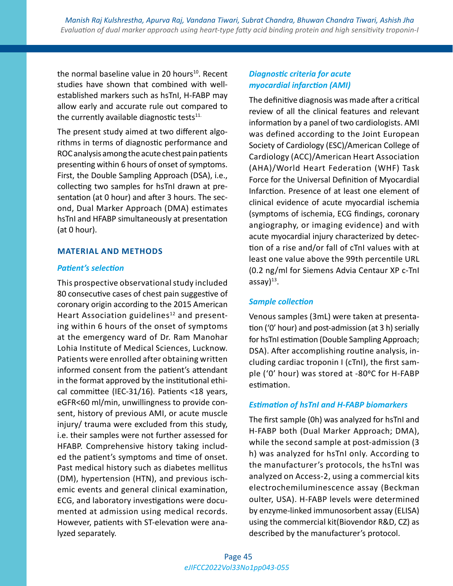the normal baseline value in 20 hours<sup>10</sup>. Recent studies have shown that combined with wellestablished markers such as hsTnI, H-FABP may allow early and accurate rule out compared to the currently available diagnostic tests $11$ .

The present study aimed at two different algorithms in terms of diagnostic performance and ROC analysis among the acute chest pain patients presenting within 6 hours of onset of symptoms. First, the Double Sampling Approach (DSA), i.e., collecting two samples for hsTnI drawn at presentation (at 0 hour) and after 3 hours. The second, Dual Marker Approach (DMA) estimates hsTnI and HFABP simultaneously at presentation (at 0 hour).

# **MATERIAL AND METHODS**

# *Patient's selection*

This prospective observational study included 80 consecutive cases of chest pain suggestive of coronary origin according to the 2015 American Heart Association guidelines<sup>12</sup> and presenting within 6 hours of the onset of symptoms at the emergency ward of Dr. Ram Manohar Lohia Institute of Medical Sciences, Lucknow. Patients were enrolled after obtaining written informed consent from the patient's attendant in the format approved by the institutional ethical committee (IEC-31/16). Patients <18 years, eGFR<60 ml/min, unwillingness to provide consent, history of previous AMI, or acute muscle injury/ trauma were excluded from this study, i.e. their samples were not further assessed for HFABP. Comprehensive history taking included the patient's symptoms and time of onset. Past medical history such as diabetes mellitus (DM), hypertension (HTN), and previous ischemic events and general clinical examination, ECG, and laboratory investigations were documented at admission using medical records. However, patients with ST-elevation were analyzed separately.

# *Diagnostic criteria for acute myocardial infarction (AMI)*

The definitive diagnosis was made after a critical review of all the clinical features and relevant information by a panel of two cardiologists. AMI was defined according to the Joint European Society of Cardiology (ESC)/American College of Cardiology (ACC)/American Heart Association (AHA)/World Heart Federation (WHF) Task Force for the Universal Definition of Myocardial Infarction. Presence of at least one element of clinical evidence of acute myocardial ischemia (symptoms of ischemia, ECG findings, coronary angiography, or imaging evidence) and with acute myocardial injury characterized by detection of a rise and/or fall of cTnI values with at least one value above the 99th percentile URL (0.2 ng/ml for Siemens Advia Centaur XP c-TnI  $assay)^{13}$ .

# *Sample collection*

Venous samples (3mL) were taken at presentation ('0' hour) and post-admission (at 3 h) serially for hsTnI estimation (Double Sampling Approach; DSA). After accomplishing routine analysis, including cardiac troponin I (cTnI), the first sample ('0' hour) was stored at -80°C for H-FABP estimation.

# *Estimation of hsTnI and H-FABP biomarkers*

The first sample (0h) was analyzed for hsTnI and H-FABP both (Dual Marker Approach; DMA), while the second sample at post-admission (3 h) was analyzed for hsTnI only. According to the manufacturer's protocols, the hsTnI was analyzed on Access-2, using a commercial kits electrochemiluminescence assay (Beckman oulter, USA). H-FABP levels were determined by enzyme-linked immunosorbent assay (ELISA) using the commercial kit(Biovendor R&D, CZ) as described by the manufacturer's protocol.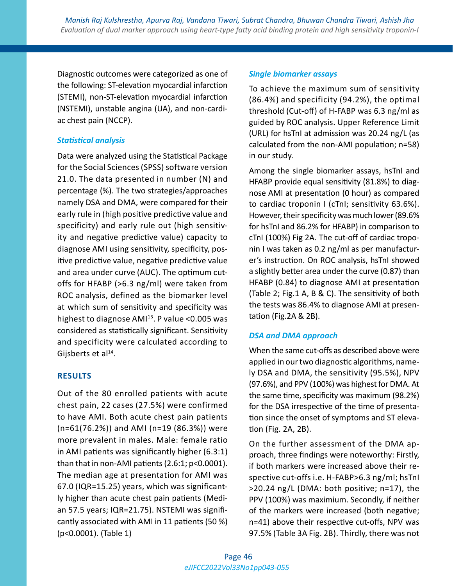Diagnostic outcomes were categorized as one of the following: ST-elevation myocardial infarction (STEMI), non-ST-elevation myocardial infarction (NSTEMI), unstable angina (UA), and non-cardiac chest pain (NCCP).

# *Statistical analysis*

Data were analyzed using the Statistical Package for the Social Sciences (SPSS) software version 21.0. The data presented in number (N) and percentage (%). The two strategies/approaches namely DSA and DMA, were compared for their early rule in (high positive predictive value and specificity) and early rule out (high sensitivity and negative predictive value) capacity to diagnose AMI using sensitivity, specificity, positive predictive value, negative predictive value and area under curve (AUC). The optimum cutoffs for HFABP (>6.3 ng/ml) were taken from ROC analysis, defined as the biomarker level at which sum of sensitivity and specificity was highest to diagnose AMI<sup>13</sup>. P value < 0.005 was considered as statistically significant. Sensitivity and specificity were calculated according to Gijsberts et al $^{14}$ .

# **RESULTS**

Out of the 80 enrolled patients with acute chest pain, 22 cases (27.5%) were confirmed to have AMI. Both acute chest pain patients (n=61(76.2%)) and AMI (n=19 (86.3%)) were more prevalent in males. Male: female ratio in AMI patients was significantly higher (6.3:1) than that in non-AMI patients (2.6:1; p<0.0001). The median age at presentation for AMI was 67.0 (IQR=15.25) years, which was significantly higher than acute chest pain patients (Median 57.5 years; IQR=21.75). NSTEMI was significantly associated with AMI in 11 patients (50 %) (p<0.0001). (Table 1)

# *Single biomarker assays*

To achieve the maximum sum of sensitivity (86.4%) and specificity (94.2%), the optimal threshold (Cut-off) of H-FABP was 6.3 ng/ml as guided by ROC analysis. Upper Reference Limit (URL) for hsTnI at admission was 20.24 ng/L (as calculated from the non-AMI population; n=58) in our study.

Among the single biomarker assays, hsTnI and HFABP provide equal sensitivity (81.8%) to diagnose AMI at presentation (0 hour) as compared to cardiac troponin I (cTnI; sensitivity 63.6%). However, their specificity was much lower (89.6% for hsTnI and 86.2% for HFABP) in comparison to cTnI (100%) Fig 2A. The cut-off of cardiac troponin I was taken as 0.2 ng/ml as per manufacturer's instruction. On ROC analysis, hsTnI showed a slightly better area under the curve (0.87) than HFABP (0.84) to diagnose AMI at presentation (Table 2; Fig.1 A, B & C). The sensitivity of both the tests was 86.4% to diagnose AMI at presentation (Fig.2A & 2B).

# *DSA and DMA approach*

When the same cut-offs as described above were applied in our two diagnostic algorithms, namely DSA and DMA, the sensitivity (95.5%), NPV (97.6%), and PPV (100%) was highest for DMA. At the same time, specificity was maximum (98.2%) for the DSA irrespective of the time of presentation since the onset of symptoms and ST elevation (Fig. 2A, 2B).

On the further assessment of the DMA approach, three findings were noteworthy: Firstly, if both markers were increased above their respective cut-offs i.e. H-FABP>6.3 ng/ml; hsTnI >20.24 ng/L (DMA: both positive; n=17), the PPV (100%) was maximium. Secondly, if neither of the markers were increased (both negative; n=41) above their respective cut-offs, NPV was 97.5% (Table 3A Fig. 2B). Thirdly, there was not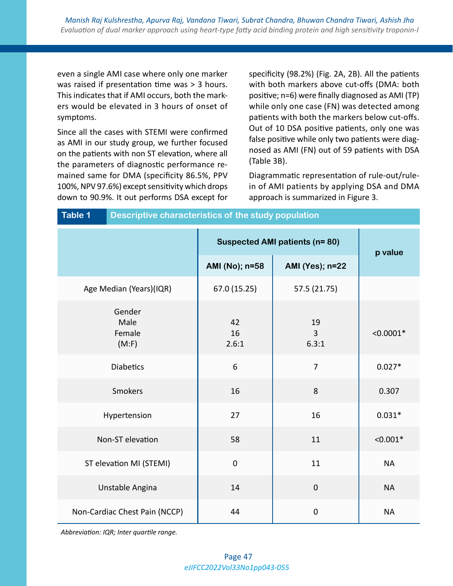even a single AMI case where only one marker was raised if presentation time was > 3 hours. This indicates that if AMI occurs, both the markers would be elevated in 3 hours of onset of symptoms.

Since all the cases with STEMI were confirmed as AMI in our study group, we further focused on the patients with non ST elevation, where all the parameters of diagnostic performance remained same for DMA (specificity 86.5%, PPV 100%, NPV 97.6%) except sensitivity which drops down to 90.9%. It out performs DSA except for

**Table 1 Descriptive characteristics of the study population**

specificity (98.2%) (Fig. 2A, 2B). All the patients with both markers above cut-offs (DMA: both positive; n=6) were finally diagnosed as AMI (TP) while only one case (FN) was detected among patients with both the markers below cut-offs. Out of 10 DSA positive patients, only one was false positive while only two patients were diagnosed as AMI (FN) out of 59 patients with DSA (Table 3B).

Diagrammatic representation of rule-out/rulein of AMI patients by applying DSA and DMA approach is summarized in Figure 3.

| .                                 |                                      |                               |             |  |  |  |
|-----------------------------------|--------------------------------------|-------------------------------|-------------|--|--|--|
|                                   | <b>Suspected AMI patients (n=80)</b> | p value                       |             |  |  |  |
|                                   | AMI (No); n=58                       | <b>AMI (Yes); n=22</b>        |             |  |  |  |
| Age Median (Years)(IQR)           | 67.0 (15.25)                         | 57.5 (21.75)                  |             |  |  |  |
| Gender<br>Male<br>Female<br>(M:F) | 42<br>16<br>2.6:1                    | 19<br>$\overline{3}$<br>6.3:1 | $< 0.0001*$ |  |  |  |
| <b>Diabetics</b>                  | 6                                    | $\overline{7}$                | $0.027*$    |  |  |  |
| Smokers                           | 16                                   | 8                             | 0.307       |  |  |  |
| Hypertension                      | 27                                   | 16                            | $0.031*$    |  |  |  |
| Non-ST elevation                  | 58                                   | 11                            | $< 0.001*$  |  |  |  |
| ST elevation MI (STEMI)           | $\boldsymbol{0}$                     | 11                            | <b>NA</b>   |  |  |  |
| Unstable Angina                   | 14                                   | $\pmb{0}$                     | <b>NA</b>   |  |  |  |
| Non-Cardiac Chest Pain (NCCP)     | 44                                   | $\pmb{0}$                     | <b>NA</b>   |  |  |  |

*Abbreviation: IQR; Inter quartile range.*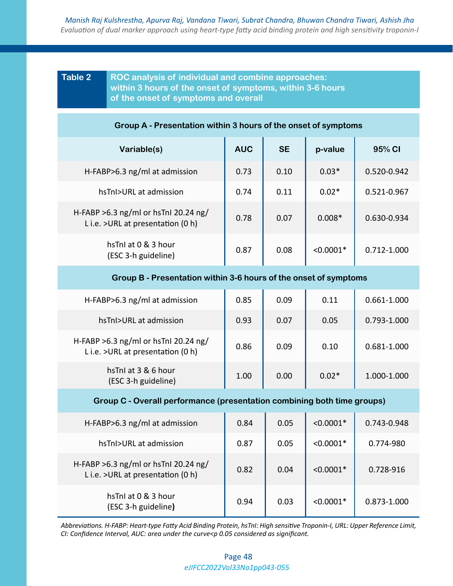# **Table 2 ROC analysis of individual and combine approaches: within 3 hours of the onset of symptoms, within 3-6 hours of the onset of symptoms and overall**

#### **Group A - Presentation within 3 hours of the onset of symptoms**

| Variable(s)                                                                 | <b>AUC</b> | <b>SE</b> | p-value     | 95% CI      |
|-----------------------------------------------------------------------------|------------|-----------|-------------|-------------|
| H-FABP>6.3 $ng/ml$ at admission                                             | 0.73       | 0.10      | $0.03*$     | 0.520-0.942 |
| hsTnI>URL at admission                                                      | 0.74       | 0.11      | $0.02*$     | 0.521-0.967 |
| H-FABP > 6.3 ng/ml or hsTnI 20.24 ng/<br>L i.e. > URL at presentation (0 h) | 0.78       | 0.07      | $0.008*$    | 0.630-0.934 |
| hsTnI at 0 & 3 hour<br>(ESC 3-h guideline)                                  | 0.87       | 0.08      | $< 0.0001*$ | 0.712-1.000 |

#### **Group B - Presentation within 3-6 hours of the onset of symptoms**

| H-FABP>6.3 $ng/ml$ at admission                                            | 0.85 | 0.09 | 0.11    | 0.661-1.000 |
|----------------------------------------------------------------------------|------|------|---------|-------------|
| hsTnI>URL at admission                                                     | 0.93 | 0.07 | 0.05    | 0.793-1.000 |
| H-FABP >6.3 ng/ml or hsTnI 20.24 ng/<br>L i.e. > URL at presentation (0 h) | 0.86 | 0.09 | 0.10    | 0.681-1.000 |
| hsTnI at 3 & 6 hour<br>(ESC 3-h guideline)                                 | 1.00 | 0.00 | $0.02*$ | 1.000-1.000 |

#### **Group C - Overall performance (presentation combining both time groups)**

| H-FABP>6.3 $ng/ml$ at admission                                              | 0.84 | 0.05 | $< 0.0001*$ | 0.743-0.948 |
|------------------------------------------------------------------------------|------|------|-------------|-------------|
| hsTnI>URL at admission                                                       | 0.87 | 0.05 | $< 0.0001*$ | 0.774-980   |
| H-FABP $>6.3$ ng/ml or hsTnI 20.24 ng/<br>L i.e. > URL at presentation (0 h) | 0.82 | 0.04 | $< 0.0001*$ | 0.728-916   |
| hsTnI at 0 & 3 hour<br>(ESC 3-h guideline)                                   | 0.94 | 0.03 | $< 0.0001*$ | 0.873-1.000 |

*Abbreviations. H-FABP: Heart-type Fatty Acid Binding Protein, hsTnI: High sensitive Troponin-I, URL: Upper Reference Limit, CI: Confidence Interval, AUC: area under the curve<p 0.05 considered as significant.*

### *eJIFCC2022Vol33No1pp043-055* Page 48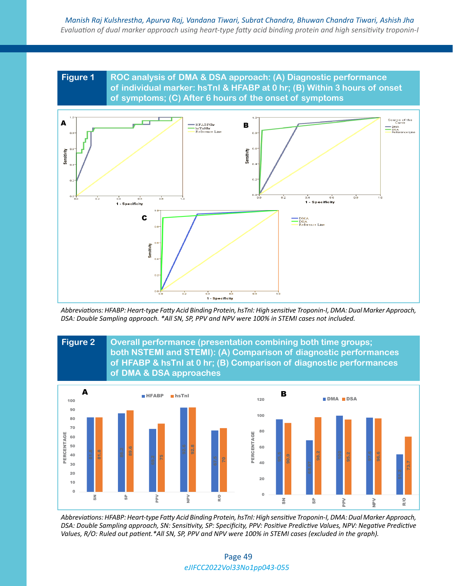# **Figure 1 ROC analysis of DMA & DSA approach: (A) Diagnostic performance of individual marker: hsTnI & HFABP at 0 hr; (B) Within 3 hours of onset of symptoms; (C) After 6 hours of the onset of symptoms**



*Abbreviations: HFABP: Heart-type Fatty Acid Binding Protein, hsTnI: High sensitive Troponin-I, DMA: Dual Marker Approach, DSA: Double Sampling approach. \*All SN, SP, PPV and NPV were 100% in STEMI cases not included.*



*Abbreviations: HFABP: Heart-type Fatty Acid Binding Protein, hsTnI: High sensitive Troponin-I, DMA: Dual Marker Approach, DSA: Double Sampling approach, SN: Sensitivity, SP: Specificity, PPV: Positive Predictive Values, NPV: Negative Predictive Values, R/O: Ruled out patient.\*All SN, SP, PPV and NPV were 100% in STEMI cases (excluded in the graph).*

#### *eJIFCC2022Vol33No1pp043-055* Page 49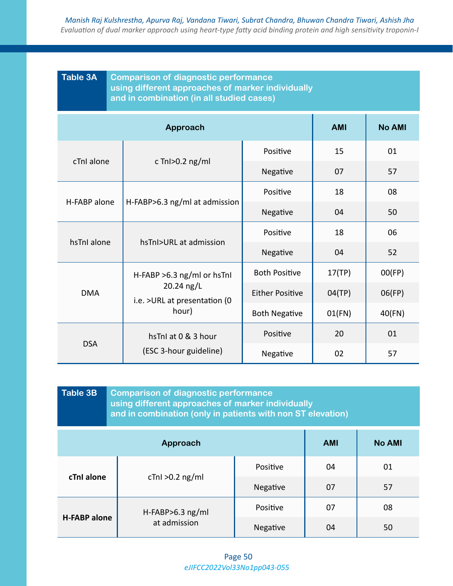| <b>Table 3A</b><br><b>Comparison of diagnostic performance</b><br>using different approaches of marker individually<br>and in combination (in all studied cases) |                                             |                               |                      |            |               |
|------------------------------------------------------------------------------------------------------------------------------------------------------------------|---------------------------------------------|-------------------------------|----------------------|------------|---------------|
|                                                                                                                                                                  |                                             | Approach                      |                      | <b>AMI</b> | <b>No AMI</b> |
| cTnI alone<br>c TnI $>0.2$ ng/ml                                                                                                                                 |                                             | Positive                      | 15                   | 01         |               |
|                                                                                                                                                                  |                                             |                               | Negative             | 07         | 57            |
|                                                                                                                                                                  |                                             |                               | Positive             | 18         | 08            |
| H-FABP alone                                                                                                                                                     |                                             | H-FABP>6.3 ng/ml at admission | Negative             | 04         | 50            |
|                                                                                                                                                                  |                                             | hsTnI>URL at admission        | Positive             | 18         | 06            |
| hsTnI alone                                                                                                                                                      | Negative                                    |                               | 04                   | 52         |               |
|                                                                                                                                                                  |                                             | H-FABP $>6.3$ ng/ml or hsTnl  | <b>Both Positive</b> | 17(TP)     | OO(FP)        |
| <b>DMA</b>                                                                                                                                                       | 20.24 ng/L<br>i.e. > URL at presentation (0 | <b>Either Positive</b>        | 04(TP)               | 06(FP)     |               |
|                                                                                                                                                                  |                                             | hour)                         | <b>Both Negative</b> | 01(FN)     | 40(FN)        |
| <b>DSA</b>                                                                                                                                                       |                                             | hsTnI at 0 & 3 hour           | Positive             | 20         | 01            |
|                                                                                                                                                                  |                                             | (ESC 3-hour guideline)        | Negative             | 02         | 57            |

| Table 3B                                | <b>Comparison of diagnostic performance</b><br>using different approaches of marker individually<br>and in combination (only in patients with non ST elevation) |          |    |    |  |  |
|-----------------------------------------|-----------------------------------------------------------------------------------------------------------------------------------------------------------------|----------|----|----|--|--|
| <b>No AMI</b><br>Approach<br><b>AMI</b> |                                                                                                                                                                 |          |    |    |  |  |
| cTnI alone                              | $cTnl > 0.2$ ng/ml                                                                                                                                              | Positive | 04 | 01 |  |  |
|                                         |                                                                                                                                                                 | Negative | 07 | 57 |  |  |
| <b>H-FABP alone</b>                     | $H-FABP>6.3$ ng/ml<br>at admission                                                                                                                              | Positive | 07 | 08 |  |  |
|                                         |                                                                                                                                                                 | Negative | 04 | 50 |  |  |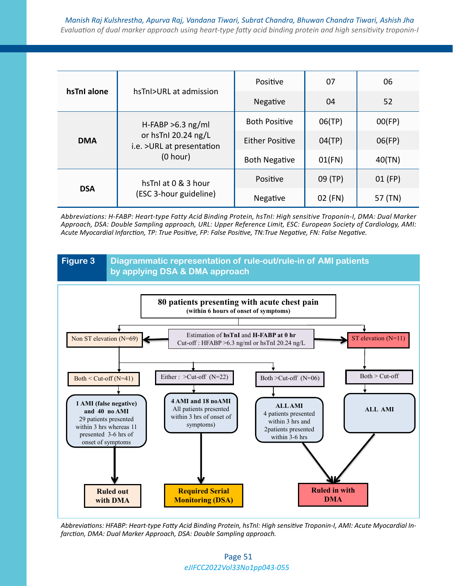| hsTnI alone | hsTnI>URL at admission                                                               | Positive               | 07      | 06      |
|-------------|--------------------------------------------------------------------------------------|------------------------|---------|---------|
|             |                                                                                      | Negative               | 04      | 52      |
| <b>DMA</b>  | H-FABP $>6.3$ ng/ml<br>or hsTnI 20.24 ng/L<br>i.e. > URL at presentation<br>(0 hour) | <b>Both Positive</b>   | 06(TP)  | OO(FP)  |
|             |                                                                                      | <b>Either Positive</b> | 04(TP)  | 06(FP)  |
|             |                                                                                      | <b>Both Negative</b>   | 01(FN)  | 40(TN)  |
| <b>DSA</b>  | hsTnI at 0 & 3 hour                                                                  | Positive               | 09 (TP) | 01 (FP) |
|             | (ESC 3-hour guideline)                                                               | Negative               | 02 (FN) | 57 (TN) |

*Abbreviations: H-FABP: Heart-type Fatty Acid Binding Protein, hsTnI: High sensitive Troponin-I, DMA: Dual Marker Approach, DSA: Double Sampling approach, URL: Upper Reference Limit, ESC: European Society of Cardiology, AMI: Acute Myocardial Infarction, TP: True Positive, FP: False Positive, TN:True Negative, FN: False Negative.*



*Abbreviations: HFABP: Heart-type Fatty Acid Binding Protein, hsTnI: High sensitive Troponin-I, AMI: Acute Myocardial Infarction, DMA: Dual Marker Approach, DSA: Double Sampling approach.*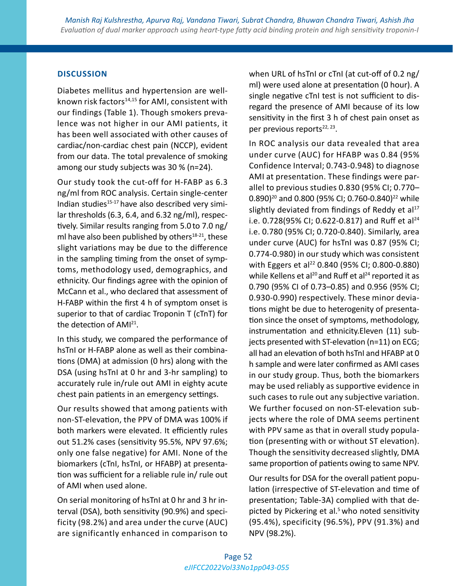### **DISCUSSION**

Diabetes mellitus and hypertension are wellknown risk factors<sup>14,15</sup> for AMI, consistent with our findings (Table 1). Though smokers prevalence was not higher in our AMI patients, it has been well associated with other causes of cardiac/non-cardiac chest pain (NCCP), evident from our data. The total prevalence of smoking among our study subjects was 30 % (n=24).

Our study took the cut-off for H-FABP as 6.3 ng/ml from ROC analysis. Certain single-center Indian studies<sup>15-17</sup> have also described very similar thresholds (6.3, 6.4, and 6.32 ng/ml), respectively. Similar results ranging from 5.0 to 7.0 ng/ ml have also been published by others $18-21$ , these slight variations may be due to the difference in the sampling timing from the onset of symptoms, methodology used, demographics, and ethnicity. Our findings agree with the opinion of McCann et al., who declared that assessment of H-FABP within the first 4 h of symptom onset is superior to that of cardiac Troponin T (cTnT) for the detection of AMI21.

In this study, we compared the performance of hsTnI or H-FABP alone as well as their combinations (DMA) at admission (0 hrs) along with the DSA (using hsTnI at 0 hr and 3-hr sampling) to accurately rule in/rule out AMI in eighty acute chest pain patients in an emergency settings.

Our results showed that among patients with non-ST-elevation, the PPV of DMA was 100% if both markers were elevated. It efficiently rules out 51.2% cases (sensitivity 95.5%, NPV 97.6%; only one false negative) for AMI. None of the biomarkers (cTnI, hsTnI, or HFABP) at presentation was sufficient for a reliable rule in/ rule out of AMI when used alone.

On serial monitoring of hsTnI at 0 hr and 3 hr interval (DSA), both sensitivity (90.9%) and specificity (98.2%) and area under the curve (AUC) are significantly enhanced in comparison to

when URL of hsTnI or cTnI (at cut-off of 0.2 ng/ ml) were used alone at presentation (0 hour). A single negative cTnI test is not sufficient to disregard the presence of AMI because of its low sensitivity in the first 3 h of chest pain onset as per previous reports<sup>22, 23</sup>.

In ROC analysis our data revealed that area under curve (AUC) for HFABP was 0.84 (95% Confidence Interval; 0.743-0.948) to diagnose AMI at presentation. These findings were parallel to previous studies 0.830 (95% CI; 0.770– 0.890)<sup>20</sup> and 0.800 (95% CI; 0.760-0.840)<sup>22</sup> while slightly deviated from findings of Reddy et al $17$ i.e. 0.728(95% CI; 0.622-0.817) and Ruff et al<sup>24</sup> i.e. 0.780 (95% CI; 0.720-0.840). Similarly, area under curve (AUC) for hsTnI was 0.87 (95% CI; 0.774-0.980) in our study which was consistent with Eggers et al<sup>22</sup> 0.840 (95% CI; 0.800-0.880) while Kellens et al<sup>20</sup> and Ruff et al<sup>24</sup> reported it as 0.790 (95% CI of 0.73–0.85) and 0.956 (95% CI; 0.930-0.990) respectively. These minor deviations might be due to heterogenity of presentation since the onset of symptoms, methodology, instrumentation and ethnicity.Eleven (11) subjects presented with ST-elevation (n=11) on ECG; all had an elevation of both hsTnI and HFABP at 0 h sample and were later confirmed as AMI cases in our study group. Thus, both the biomarkers may be used reliably as supportive evidence in such cases to rule out any subjective variation. We further focused on non-ST-elevation subjects where the role of DMA seems pertinent with PPV same as that in overall study population (presenting with or without ST elevation). Though the sensitivity decreased slightly, DMA same proportion of patients owing to same NPV.

Our results for DSA for the overall patient population (irrespective of ST-elevation and time of presentation; Table-3A) complied with that depicted by Pickering et al. $5$  who noted sensitivity (95.4%), specificity (96.5%), PPV (91.3%) and NPV (98.2%).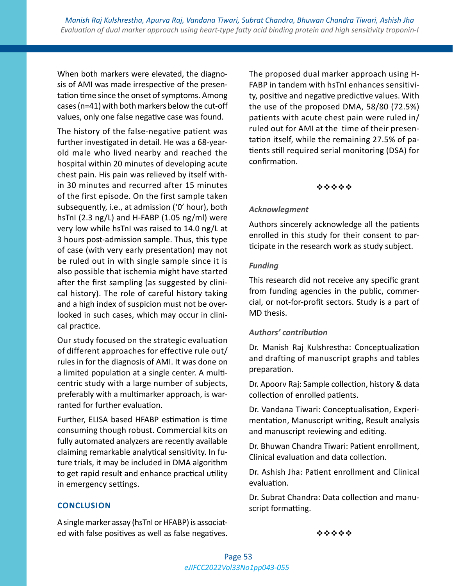When both markers were elevated, the diagnosis of AMI was made irrespective of the presentation time since the onset of symptoms. Among cases (n=41) with both markers below the cut-off values, only one false negative case was found.

The history of the false-negative patient was further investigated in detail. He was a 68-yearold male who lived nearby and reached the hospital within 20 minutes of developing acute chest pain. His pain was relieved by itself within 30 minutes and recurred after 15 minutes of the first episode. On the first sample taken subsequently, i.e., at admission ('0' hour), both hsTnI (2.3 ng/L) and H-FABP (1.05 ng/ml) were very low while hsTnI was raised to 14.0 ng/L at 3 hours post-admission sample. Thus, this type of case (with very early presentation) may not be ruled out in with single sample since it is also possible that ischemia might have started after the first sampling (as suggested by clinical history). The role of careful history taking and a high index of suspicion must not be overlooked in such cases, which may occur in clinical practice.

Our study focused on the strategic evaluation of different approaches for effective rule out/ rules in for the diagnosis of AMI. It was done on a limited population at a single center. A multicentric study with a large number of subjects, preferably with a multimarker approach, is warranted for further evaluation.

Further, ELISA based HFABP estimation is time consuming though robust. Commercial kits on fully automated analyzers are recently available claiming remarkable analytical sensitivity. In future trials, it may be included in DMA algorithm to get rapid result and enhance practical utility in emergency settings.

The proposed dual marker approach using H-FABP in tandem with hsTnI enhances sensitivity, positive and negative predictive values. With the use of the proposed DMA, 58/80 (72.5%) patients with acute chest pain were ruled in/ ruled out for AMI at the time of their presentation itself, while the remaining 27.5% of patients still required serial monitoring (DSA) for confirmation.

#### \*\*\*\*\*

#### *Acknowlegment*

Authors sincerely acknowledge all the patients enrolled in this study for their consent to participate in the research work as study subject.

#### *Funding*

This research did not receive any specific grant from funding agencies in the public, commercial, or not-for-profit sectors. Study is a part of MD thesis.

#### *Authors' contribution*

Dr. Manish Raj Kulshrestha: Conceptualization and drafting of manuscript graphs and tables preparation.

Dr. Apoorv Raj: Sample collection, history & data collection of enrolled patients.

Dr. Vandana Tiwari: Conceptualisation, Experimentation, Manuscript writing, Result analysis and manuscript reviewing and editing.

Dr. Bhuwan Chandra Tiwari: Patient enrollment, Clinical evaluation and data collection.

Dr. Ashish Jha: Patient enrollment and Clinical evaluation.

Dr. Subrat Chandra: Data collection and manuscript formatting.

#### **CONCLUSION**

A single marker assay (hsTnI or HFABP) is associated with false positives as well as false negatives.

\*\*\*\*\*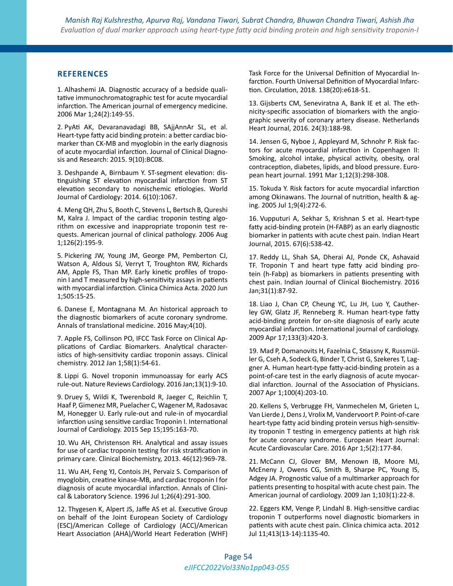#### **REFERENCES**

1. Alhashemi JA. Diagnostic accuracy of a bedside qualitative immunochromatographic test for acute myocardial infarction. The American journal of emergency medicine. 2006 Mar 1;24(2):149-55.

2. PyAti AK, Devaranavadagi BB, SAjjAnnAr SL, et al. Heart-type fatty acid binding protein: a better cardiac biomarker than CK-MB and myoglobin in the early diagnosis of acute myocardial infarction. Journal of Clinical Diagnosis and Research: 2015. 9(10):BC08.

3. Deshpande A, Birnbaum Y. ST-segment elevation: distinguishing ST elevation myocardial infarction from ST elevation secondary to nonischemic etiologies. World Journal of Cardiology: 2014. 6(10):1067.

4. Meng QH, Zhu S, Booth C, Stevens L, Bertsch B, Qureshi M, Kalra J. Impact of the cardiac troponin testing algorithm on excessive and inappropriate troponin test requests. American journal of clinical pathology. 2006 Aug 1;126(2):195-9.

5. Pickering JW, Young JM, George PM, Pemberton CJ, Watson A, Aldous SJ, Verryt T, Troughton RW, Richards AM, Apple FS, Than MP. Early kinetic profiles of troponin I and T measured by high-sensitivity assays in patients with myocardial infarction. Clinica Chimica Acta. 2020 Jun 1;505:15-25.

6. Danese E, Montagnana M. An historical approach to the diagnostic biomarkers of acute coronary syndrome. Annals of translational medicine. 2016 May;4(10).

7. Apple FS, Collinson PO, IFCC Task Force on Clinical Applications of Cardiac Biomarkers. Analytical characteristics of high-sensitivity cardiac troponin assays. Clinical chemistry. 2012 Jan 1;58(1):54-61.

8. Lippi G. Novel troponin immunoassay for early ACS rule-out. Nature Reviews Cardiology. 2016 Jan;13(1):9-10.

9. Druey S, Wildi K, Twerenbold R, Jaeger C, Reichlin T, Haaf P, Gimenez MR, Puelacher C, Wagener M, Radosavac M, Honegger U. Early rule-out and rule-in of myocardial infarction using sensitive cardiac Troponin I. International Journal of Cardiology. 2015 Sep 15;195:163-70.

10. Wu AH, Christenson RH. Analytical and assay issues for use of cardiac troponin testing for risk stratification in primary care. Clinical Biochemistry, 2013. 46(12):969-78.

11. Wu AH, Feng YJ, Contois JH, Pervaiz S. Comparison of myoglobin, creatine kinase-MB, and cardiac troponin I for diagnosis of acute myocardial infarction. Annals of Clinical & Laboratory Science. 1996 Jul 1;26(4):291-300.

12. Thygesen K, Alpert JS, Jaffe AS et al. Executive Group on behalf of the Joint European Society of Cardiology (ESC)/American College of Cardiology (ACC)/American Heart Association (AHA)/World Heart Federation (WHF) Task Force for the Universal Definition of Myocardial Infarction. Fourth Universal Definition of Myocardial Infarction. Circulation, 2018. 138(20):e618-51.

13. Gijsberts CM, Seneviratna A, Bank IE et al. The ethnicity-specific association of biomarkers with the angiographic severity of coronary artery disease. Netherlands Heart Journal, 2016. 24(3):188-98.

14. Jensen G, Nyboe J, Appleyard M, Schnohr P. Risk factors for acute myocardial infarction in Copenhagen II: Smoking, alcohol intake, physical activity, obesity, oral contraception, diabetes, lipids, and blood pressure. European heart journal. 1991 Mar 1;12(3):298-308.

15. Tokuda Y. Risk factors for acute myocardial infarction among Okinawans. The Journal of nutrition, health & aging. 2005 Jul 1;9(4):272-6.

16. Vupputuri A, Sekhar S, Krishnan S et al. Heart-type fatty acid-binding protein (H-FABP) as an early diagnostic biomarker in patients with acute chest pain. Indian Heart Journal, 2015. 67(6):538-42.

17. Reddy LL, Shah SA, Dherai AJ, Ponde CK, Ashavaid TF. Troponin T and heart type fatty acid binding protein (h-Fabp) as biomarkers in patients presenting with chest pain. Indian Journal of Clinical Biochemistry. 2016 Jan;31(1):87-92.

18. Liao J, Chan CP, Cheung YC, Lu JH, Luo Y, Cautherley GW, Glatz JF, Renneberg R. Human heart-type fatty acid-binding protein for on-site diagnosis of early acute myocardial infarction. International journal of cardiology. 2009 Apr 17;133(3):420-3.

19. Mad P, Domanovits H, Fazelnia C, Stiassny K, Russmüller G, Cseh A, Sodeck G, Binder T, Christ G, Szekeres T, Laggner A. Human heart-type fatty-acid-binding protein as a point-of-care test in the early diagnosis of acute myocardial infarction. Journal of the Association of Physicians. 2007 Apr 1;100(4):203-10.

20. Kellens S, Verbrugge FH, Vanmechelen M, Grieten L, Van Lierde J, Dens J, Vrolix M, Vandervoort P. Point-of-care heart-type fatty acid binding protein versus high-sensitivity troponin T testing in emergency patients at high risk for acute coronary syndrome. European Heart Journal: Acute Cardiovascular Care. 2016 Apr 1;5(2):177-84.

21. McCann CJ, Glover BM, Menown IB, Moore MJ, McEneny J, Owens CG, Smith B, Sharpe PC, Young IS, Adgey JA. Prognostic value of a multimarker approach for patients presenting to hospital with acute chest pain. The American journal of cardiology. 2009 Jan 1;103(1):22-8.

22. Eggers KM, Venge P, Lindahl B. High-sensitive cardiac troponin T outperforms novel diagnostic biomarkers in patients with acute chest pain. Clinica chimica acta. 2012 Jul 11;413(13-14):1135-40.